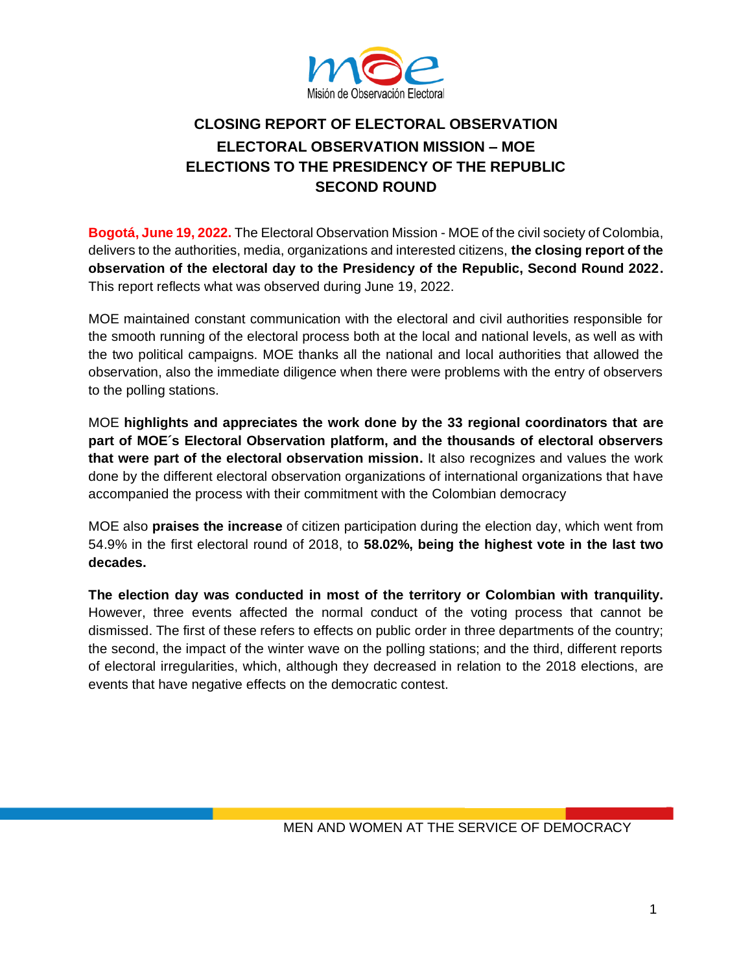

# **CLOSING REPORT OF ELECTORAL OBSERVATION ELECTORAL OBSERVATION MISSION – MOE ELECTIONS TO THE PRESIDENCY OF THE REPUBLIC SECOND ROUND**

**Bogotá, June 19, 2022.** The Electoral Observation Mission - MOE of the civil society of Colombia, delivers to the authorities, media, organizations and interested citizens, **the closing report of the observation of the electoral day to the Presidency of the Republic, Second Round 2022.**  This report reflects what was observed during June 19, 2022.

MOE maintained constant communication with the electoral and civil authorities responsible for the smooth running of the electoral process both at the local and national levels, as well as with the two political campaigns. MOE thanks all the national and local authorities that allowed the observation, also the immediate diligence when there were problems with the entry of observers to the polling stations.

MOE **highlights and appreciates the work done by the 33 regional coordinators that are part of MOE´s Electoral Observation platform, and the thousands of electoral observers that were part of the electoral observation mission.** It also recognizes and values the work done by the different electoral observation organizations of international organizations that have accompanied the process with their commitment with the Colombian democracy

MOE also **praises the increase** of citizen participation during the election day, which went from 54.9% in the first electoral round of 2018, to **58.02%, being the highest vote in the last two decades.**

**The election day was conducted in most of the territory or Colombian with tranquility.**  However, three events affected the normal conduct of the voting process that cannot be dismissed. The first of these refers to effects on public order in three departments of the country; the second, the impact of the winter wave on the polling stations; and the third, different reports of electoral irregularities, which, although they decreased in relation to the 2018 elections, are events that have negative effects on the democratic contest.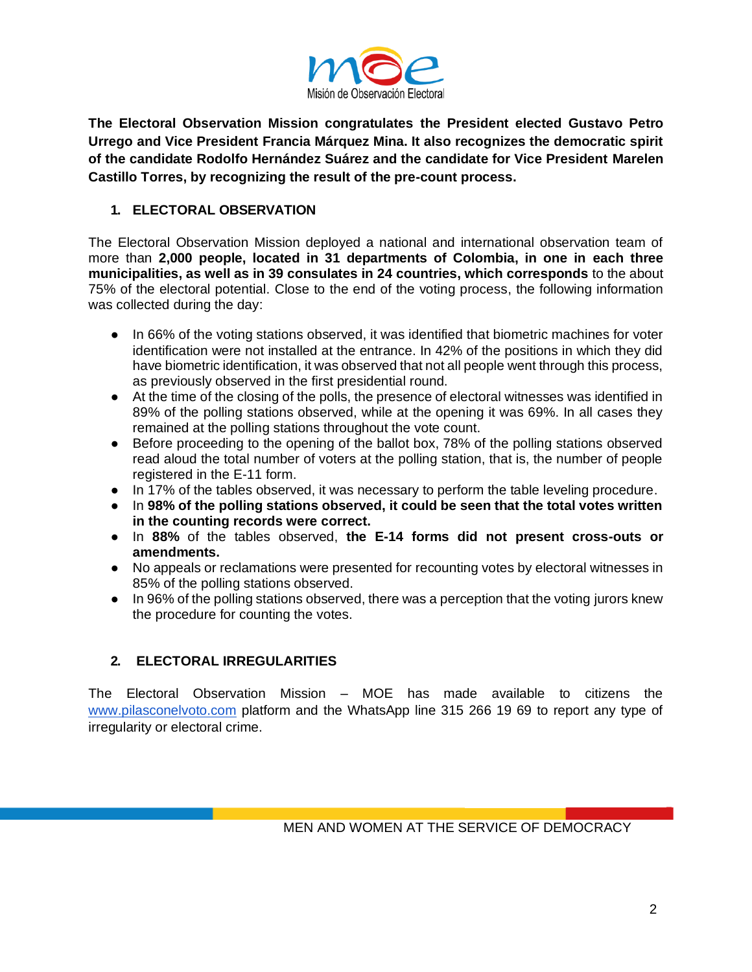

**The Electoral Observation Mission congratulates the President elected Gustavo Petro Urrego and Vice President Francia Márquez Mina. It also recognizes the democratic spirit of the candidate Rodolfo Hernández Suárez and the candidate for Vice President Marelen Castillo Torres, by recognizing the result of the pre-count process.**

# **1. ELECTORAL OBSERVATION**

The Electoral Observation Mission deployed a national and international observation team of more than **2,000 people, located in 31 departments of Colombia, in one in each three municipalities, as well as in 39 consulates in 24 countries, which corresponds** to the about 75% of the electoral potential. Close to the end of the voting process, the following information was collected during the day:

- In 66% of the voting stations observed, it was identified that biometric machines for voter identification were not installed at the entrance. In 42% of the positions in which they did have biometric identification, it was observed that not all people went through this process, as previously observed in the first presidential round.
- At the time of the closing of the polls, the presence of electoral witnesses was identified in 89% of the polling stations observed, while at the opening it was 69%. In all cases they remained at the polling stations throughout the vote count.
- Before proceeding to the opening of the ballot box, 78% of the polling stations observed read aloud the total number of voters at the polling station, that is, the number of people registered in the E-11 form.
- In 17% of the tables observed, it was necessary to perform the table leveling procedure.
- In **98% of the polling stations observed, it could be seen that the total votes written in the counting records were correct.**
- In **88%** of the tables observed, **the E-14 forms did not present cross-outs or amendments.**
- No appeals or reclamations were presented for recounting votes by electoral witnesses in 85% of the polling stations observed.
- In 96% of the polling stations observed, there was a perception that the voting jurors knew the procedure for counting the votes.

# **2. ELECTORAL IRREGULARITIES**

The Electoral Observation Mission – MOE has made available to citizens the [www.pilasconelvoto.com](http://www.pilasconelvoto.com/) platform and the WhatsApp line 315 266 19 69 to report any type of irregularity or electoral crime.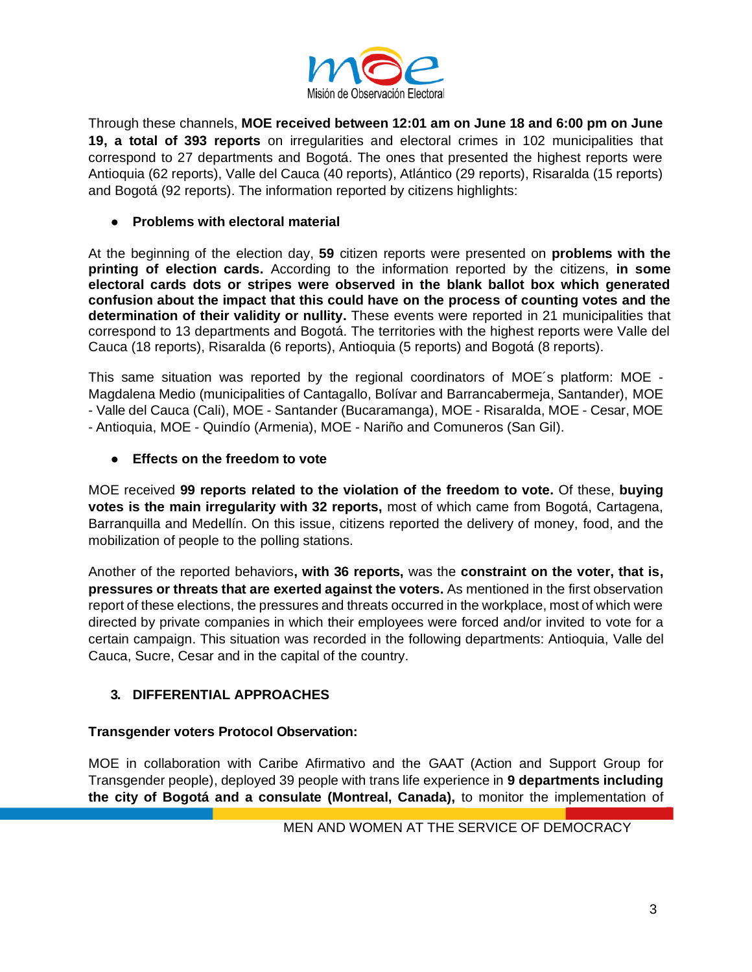

Through these channels, **MOE received between 12:01 am on June 18 and 6:00 pm on June 19, a total of 393 reports** on irregularities and electoral crimes in 102 municipalities that correspond to 27 departments and Bogotá. The ones that presented the highest reports were Antioquia (62 reports), Valle del Cauca (40 reports), Atlántico (29 reports), Risaralda (15 reports) and Bogotá (92 reports). The information reported by citizens highlights:

### **● Problems with electoral material**

At the beginning of the election day, **59** citizen reports were presented on **problems with the printing of election cards.** According to the information reported by the citizens, **in some electoral cards dots or stripes were observed in the blank ballot box which generated confusion about the impact that this could have on the process of counting votes and the determination of their validity or nullity.** These events were reported in 21 municipalities that correspond to 13 departments and Bogotá. The territories with the highest reports were Valle del Cauca (18 reports), Risaralda (6 reports), Antioquia (5 reports) and Bogotá (8 reports).

This same situation was reported by the regional coordinators of MOE´s platform: MOE - Magdalena Medio (municipalities of Cantagallo, Bolívar and Barrancabermeja, Santander), MOE - Valle del Cauca (Cali), MOE - Santander (Bucaramanga), MOE - Risaralda, MOE - Cesar, MOE - Antioquia, MOE - Quindío (Armenia), MOE - Nariño and Comuneros (San Gil).

**● Effects on the freedom to vote**

MOE received **99 reports related to the violation of the freedom to vote.** Of these, **buying votes is the main irregularity with 32 reports,** most of which came from Bogotá, Cartagena, Barranquilla and Medellín. On this issue, citizens reported the delivery of money, food, and the mobilization of people to the polling stations.

Another of the reported behaviors**, with 36 reports,** was the **constraint on the voter, that is, pressures or threats that are exerted against the voters.** As mentioned in the first observation report of these elections, the pressures and threats occurred in the workplace, most of which were directed by private companies in which their employees were forced and/or invited to vote for a certain campaign. This situation was recorded in the following departments: Antioquia, Valle del Cauca, Sucre, Cesar and in the capital of the country.

# **3. DIFFERENTIAL APPROACHES**

### **Transgender voters Protocol Observation:**

MOE in collaboration with Caribe Afirmativo and the GAAT (Action and Support Group for Transgender people), deployed 39 people with trans life experience in **9 departments including the city of Bogotá and a consulate (Montreal, Canada),** to monitor the implementation of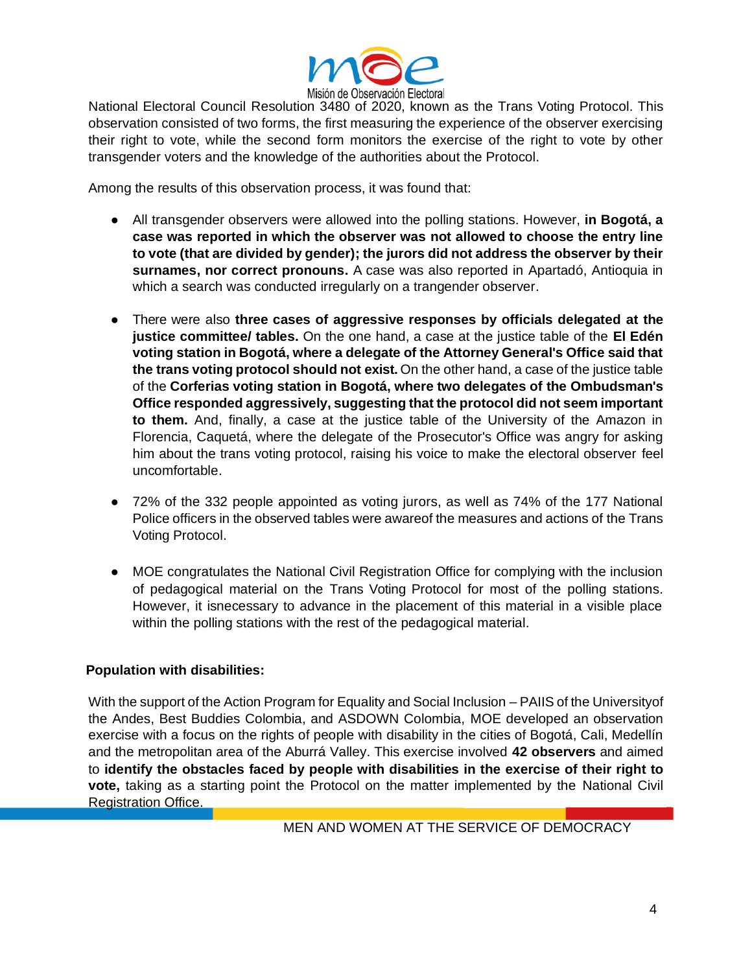

National Electoral Council Resolution 3480 of 2020, known as the Trans Voting Protocol. This observation consisted of two forms, the first measuring the experience of the observer exercising their right to vote, while the second form monitors the exercise of the right to vote by other transgender voters and the knowledge of the authorities about the Protocol.

Among the results of this observation process, it was found that:

- All transgender observers were allowed into the polling stations. However, **in Bogotá, a case was reported in which the observer was not allowed to choose the entry line to vote (that are divided by gender); the jurors did not address the observer by their surnames, nor correct pronouns.** A case was also reported in Apartadó, Antioquia in which a search was conducted irregularly on a trangender observer.
- There were also **three cases of aggressive responses by officials delegated at the justice committee/ tables.** On the one hand, a case at the justice table of the **El Edén voting station in Bogotá, where a delegate of the Attorney General's Office said that the trans voting protocol should not exist.** On the other hand, a case of the justice table of the **Corferias voting station in Bogotá, where two delegates of the Ombudsman's Office responded aggressively, suggesting that the protocol did not seem important to them.** And, finally, a case at the justice table of the University of the Amazon in Florencia, Caquetá, where the delegate of the Prosecutor's Office was angry for asking him about the trans voting protocol, raising his voice to make the electoral observer feel uncomfortable.
- 72% of the 332 people appointed as voting jurors, as well as 74% of the 177 National Police officers in the observed tables were awareof the measures and actions of the Trans Voting Protocol.
- MOE congratulates the National Civil Registration Office for complying with the inclusion of pedagogical material on the Trans Voting Protocol for most of the polling stations. However, it isnecessary to advance in the placement of this material in a visible place within the polling stations with the rest of the pedagogical material.

### **Population with disabilities:**

With the support of the Action Program for Equality and Social Inclusion – PAIIS of the Universityof the Andes, Best Buddies Colombia, and ASDOWN Colombia, MOE developed an observation exercise with a focus on the rights of people with disability in the cities of Bogotá, Cali, Medellín and the metropolitan area of the Aburrá Valley. This exercise involved **42 observers** and aimed to **identify the obstacles faced by people with disabilities in the exercise of their right to vote,** taking as a starting point the Protocol on the matter implemented by the National Civil Registration Office.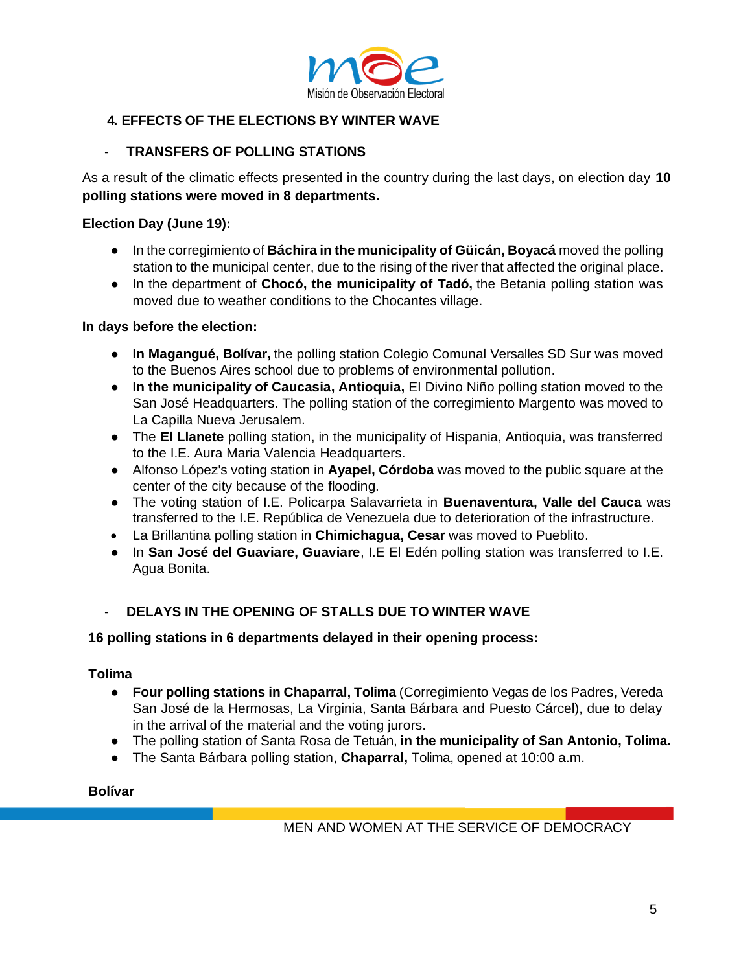

# **4. EFFECTS OF THE ELECTIONS BY WINTER WAVE**

## - **TRANSFERS OF POLLING STATIONS**

As a result of the climatic effects presented in the country during the last days, on election day **10 polling stations were moved in 8 departments.**

### **Election Day (June 19):**

- In the corregimiento of **Báchira in the municipality of Güicán, Boyacá** moved the polling station to the municipal center, due to the rising of the river that affected the original place.
- In the department of **Chocó, the municipality of Tadó,** the Betania polling station was moved due to weather conditions to the Chocantes village.

### **In days before the election:**

- **In Magangué, Bolívar,** the polling station Colegio Comunal Versalles SD Sur was moved to the Buenos Aires school due to problems of environmental pollution.
- **In the municipality of Caucasia, Antioquia,** EI Divino Niño polling station moved to the San José Headquarters. The polling station of the corregimiento Margento was moved to La Capilla Nueva Jerusalem.
- The **El Llanete** polling station, in the municipality of Hispania, Antioquia, was transferred to the I.E. Aura Maria Valencia Headquarters.
- Alfonso López's voting station in **Ayapel, Córdoba** was moved to the public square at the center of the city because of the flooding.
- The voting station of I.E. Policarpa Salavarrieta in **Buenaventura, Valle del Cauca** was transferred to the I.E. República de Venezuela due to deterioration of the infrastructure.
- La Brillantina polling station in **Chimichagua, Cesar** was moved to Pueblito.
- In **San José del Guaviare, Guaviare**, I.E El Edén polling station was transferred to I.E. Agua Bonita.

### DELAYS IN THE OPENING OF STALLS DUE TO WINTER WAVE

#### **16 polling stations in 6 departments delayed in their opening process:**

#### **Tolima**

- **Four polling stations in Chaparral, Tolima** (Corregimiento Vegas de los Padres, Vereda San José de la Hermosas, La Virginia, Santa Bárbara and Puesto Cárcel), due to delay in the arrival of the material and the voting jurors.
- The polling station of Santa Rosa de Tetuán, **in the municipality of San Antonio, Tolima.**
- **●** The Santa Bárbara polling station, **Chaparral,** Tolima, opened at 10:00 a.m.

#### **Bolívar**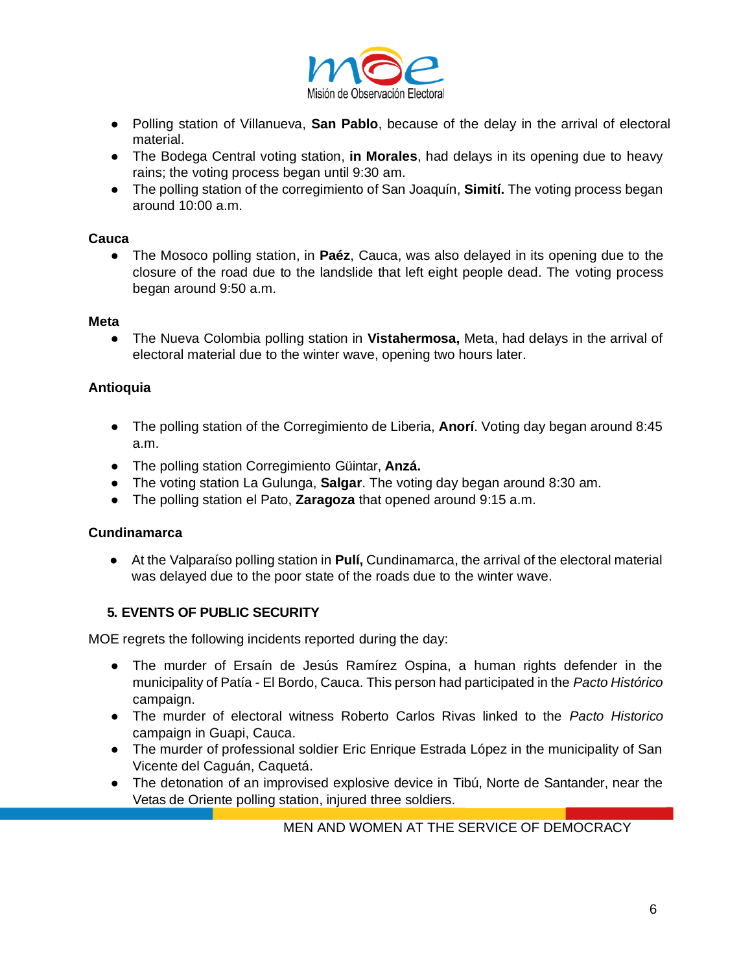

- Polling station of Villanueva, **San Pablo**, because of the delay in the arrival of electoral material.
- The Bodega Central voting station, **in Morales**, had delays in its opening due to heavy rains; the voting process began until 9:30 am.
- The polling station of the corregimiento of San Joaquín, **Simití.** The voting process began around 10:00 a.m.

### **Cauca**

● The Mosoco polling station, in **Paéz**, Cauca, was also delayed in its opening due to the closure of the road due to the landslide that left eight people dead. The voting process began around 9:50 a.m.

#### **Meta**

● The Nueva Colombia polling station in **Vistahermosa,** Meta, had delays in the arrival of electoral material due to the winter wave, opening two hours later.

### **Antioquia**

- The polling station of the Corregimiento de Liberia, **Anorí**. Voting day began around 8:45 a.m.
- The polling station Corregimiento Güintar, **Anzá.**
- The voting station La Gulunga, **Salgar**. The voting day began around 8:30 am.
- The polling station el Pato, **Zaragoza** that opened around 9:15 a.m.

### **Cundinamarca**

● At the Valparaíso polling station in **Pulí,** Cundinamarca, the arrival of the electoral material was delayed due to the poor state of the roads due to the winter wave.

### **5. EVENTS OF PUBLIC SECURITY**

MOE regrets the following incidents reported during the day:

- The murder of Ersaín de Jesús Ramírez Ospina, a human rights defender in the municipality of Patía - El Bordo, Cauca. This person had participated in the *Pacto Histórico* campaign.
- The murder of electoral witness Roberto Carlos Rivas linked to the *Pacto Historico* campaign in Guapi, Cauca.
- The murder of professional soldier Eric Enrique Estrada López in the municipality of San Vicente del Caguán, Caquetá.
- The detonation of an improvised explosive device in Tibú, Norte de Santander, near the Vetas de Oriente polling station, injured three soldiers.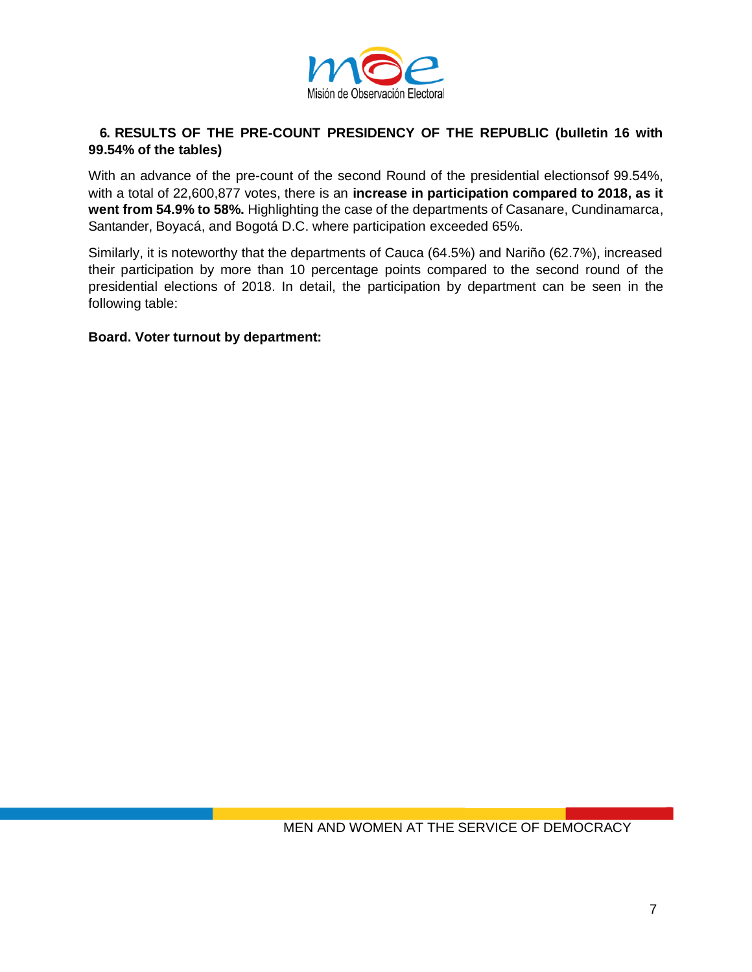

# **6. RESULTS OF THE PRE-COUNT PRESIDENCY OF THE REPUBLIC (bulletin 16 with 99.54% of the tables)**

With an advance of the pre-count of the second Round of the presidential electionsof 99.54%, with a total of 22,600,877 votes, there is an **increase in participation compared to 2018, as it went from 54.9% to 58%.** Highlighting the case of the departments of Casanare, Cundinamarca, Santander, Boyacá, and Bogotá D.C. where participation exceeded 65%.

Similarly, it is noteworthy that the departments of Cauca (64.5%) and Nariño (62.7%), increased their participation by more than 10 percentage points compared to the second round of the presidential elections of 2018. In detail, the participation by department can be seen in the following table:

### **Board. Voter turnout by department:**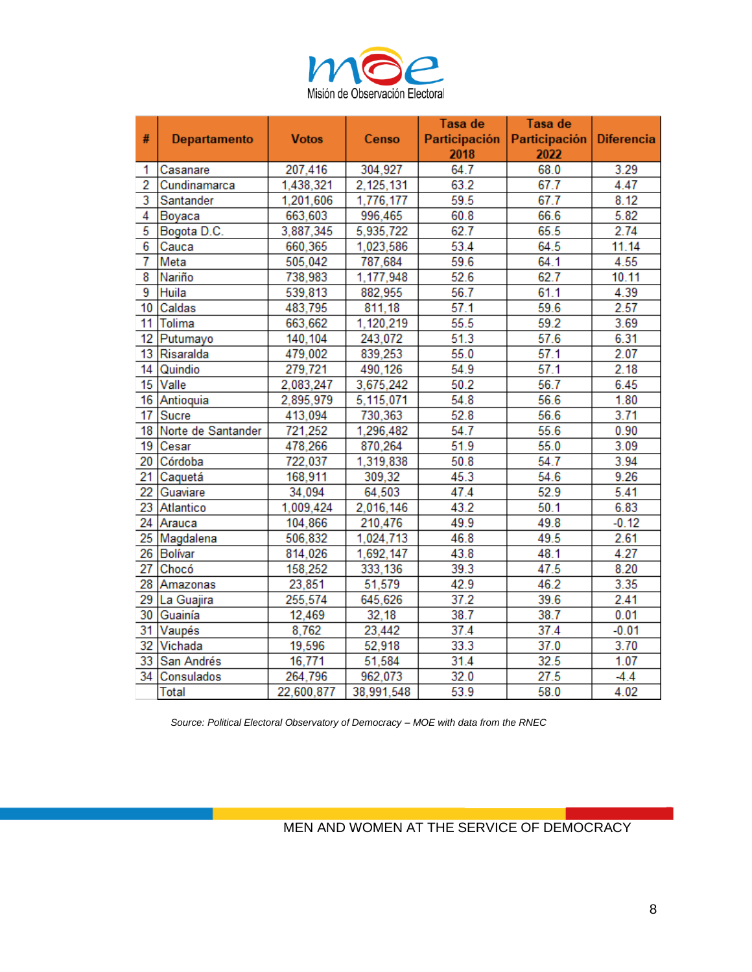

|    |                     |              |            | Tasa de       | Tasa de       |                   |
|----|---------------------|--------------|------------|---------------|---------------|-------------------|
| #  | <b>Departamento</b> | <b>Votos</b> | Censo      | Participación | Participación | <b>Diferencia</b> |
|    |                     |              |            | 2018          | 2022          |                   |
| 1  | Casanare            | 207,416      | 304,927    | 64.7          | 68.0          | 3.29              |
| 2  | Cundinamarca        | 1,438,321    | 2,125,131  | 63.2          | 67.7          | 4.47              |
| 3  | Santander           | 1,201,606    | 1,776,177  | 59.5          | 67.7          | 8.12              |
| 4  | Boyaca              | 663,603      | 996,465    | 60.8          | 66.6          | 5.82              |
| 5  | Bogota D.C.         | 3,887,345    | 5,935,722  | 62.7          | 65.5          | 2.74              |
| 6  | Cauca               | 660,365      | 1,023,586  | 53.4          | 64.5          | 11.14             |
| 7  | Meta                | 505,042      | 787,684    | 59.6          | 64.1          | 4.55              |
| 8  | Nariño              | 738,983      | 1,177,948  | 52.6          | 62.7          | 10.11             |
| 9  | Huila               | 539,813      | 882,955    | 56.7          | 61.1          | 4.39              |
| 10 | Caldas              | 483,795      | 811,18     | 57.1          | 59.6          | 2.57              |
| 11 | Tolima              | 663,662      | 1,120,219  | 55.5          | 59.2          | 3.69              |
| 12 | Putumayo            | 140,104      | 243,072    | 51.3          | 57.6          | 6.31              |
| 13 | Risaralda           | 479,002      | 839,253    | 55.0          | 57.1          | 2.07              |
| 14 | Quindio             | 279,721      | 490,126    | 54.9          | 57.1          | 2.18              |
| 15 | Valle               | 2,083,247    | 3,675,242  | 50.2          | 56.7          | 6.45              |
| 16 | Antioquia           | 2,895,979    | 5,115,071  | 54.8          | 56.6          | 1.80              |
| 17 | Sucre               | 413,094      | 730,363    | 52.8          | 56.6          | 3.71              |
| 18 | Norte de Santander  | 721,252      | 1,296,482  | 54.7          | 55.6          | 0.90              |
| 19 | Cesar               | 478,266      | 870,264    | 51.9          | 55.0          | 3.09              |
| 20 | Córdoba             | 722,037      | 1,319,838  | 50.8          | 54.7          | 3.94              |
| 21 | Caquetá             | 168,911      | 309,32     | 45.3          | 54.6          | 9.26              |
| 22 | Guaviare            | 34,094       | 64,503     | 47.4          | 52.9          | 5.41              |
| 23 | Atlantico           | 1,009,424    | 2,016,146  | 43.2          | 50.1          | 6.83              |
| 24 | Arauca              | 104,866      | 210,476    | 49.9          | 49.8          | $-0.12$           |
| 25 | Magdalena           | 506,832      | 1,024,713  | 46.8          | 49.5          | 2.61              |
| 26 | Bolívar             | 814,026      | 1,692,147  | 43.8          | 48.1          | 4.27              |
| 27 | Chocó               | 158,252      | 333,136    | 39.3          | 47.5          | 8.20              |
| 28 | Amazonas            | 23,851       | 51,579     | 42.9          | 46.2          | 3.35              |
| 29 | La Guajira          | 255,574      | 645,626    | 37.2          | 39.6          | 2.41              |
| 30 | Guainía             | 12,469       | 32,18      | 38.7          | 38.7          | 0.01              |
| 31 | Vaupés              | 8,762        | 23,442     | 37.4          | 37.4          | $-0.01$           |
| 32 | Vichada             | 19,596       | 52,918     | 33.3          | 37.0          | 3.70              |
|    | 33 San Andrés       | 16,771       | 51,584     | 31.4          | 32.5          | 1.07              |
| 34 | Consulados          | 264,796      | 962,073    | 32.0          | 27.5          | $-4.4$            |
|    | Total               | 22,600,877   | 38,991,548 | 53.9          | 58.0          | 4.02              |

*Source: Political Electoral Observatory of Democracy – MOE with data from the RNEC*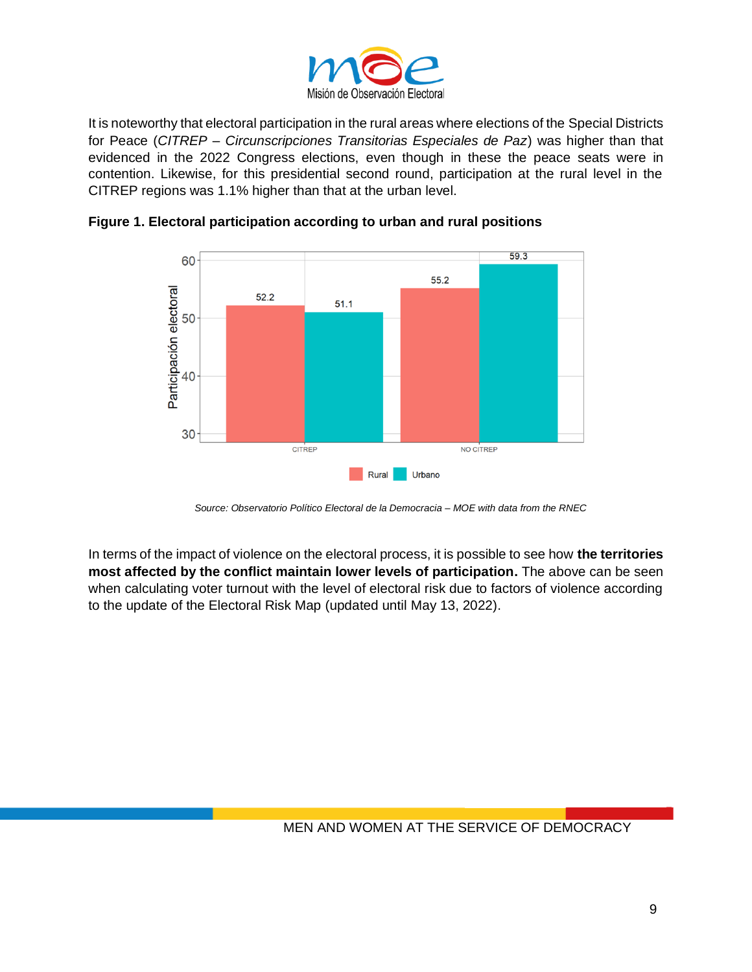

It is noteworthy that electoral participation in the rural areas where elections of the Special Districts for Peace (*CITREP – Circunscripciones Transitorias Especiales de Paz*) was higher than that evidenced in the 2022 Congress elections, even though in these the peace seats were in contention. Likewise, for this presidential second round, participation at the rural level in the CITREP regions was 1.1% higher than that at the urban level.



# **Figure 1. Electoral participation according to urban and rural positions**

In terms of the impact of violence on the electoral process, it is possible to see how **the territories most affected by the conflict maintain lower levels of participation.** The above can be seen when calculating voter turnout with the level of electoral risk due to factors of violence according to the update of the Electoral Risk Map (updated until May 13, 2022).

*Source: Observatorio Político Electoral de la Democracia – MOE with data from the RNEC*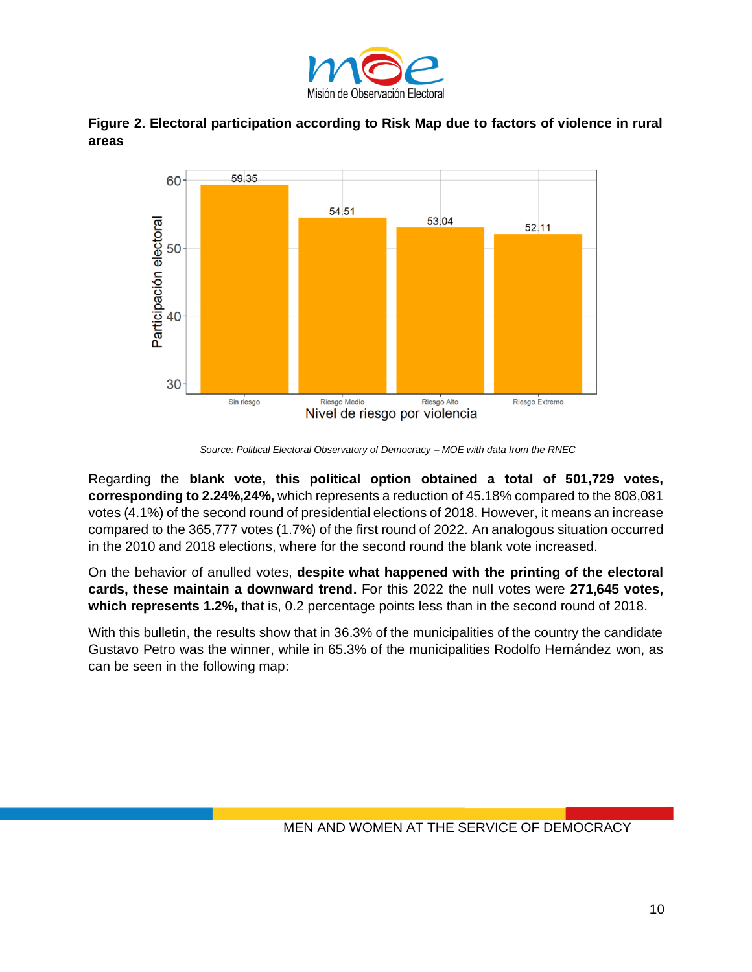





 *Source: Political Electoral Observatory of Democracy – MOE with data from the RNEC*

Regarding the **blank vote, this political option obtained a total of 501,729 votes, corresponding to 2.24%,24%,** which represents a reduction of 45.18% compared to the 808,081 votes (4.1%) of the second round of presidential elections of 2018. However, it means an increase compared to the 365,777 votes (1.7%) of the first round of 2022. An analogous situation occurred in the 2010 and 2018 elections, where for the second round the blank vote increased.

On the behavior of anulled votes, **despite what happened with the printing of the electoral cards, these maintain a downward trend.** For this 2022 the null votes were **271,645 votes, which represents 1.2%,** that is, 0.2 percentage points less than in the second round of 2018.

With this bulletin, the results show that in 36.3% of the municipalities of the country the candidate Gustavo Petro was the winner, while in 65.3% of the municipalities Rodolfo Hernández won, as can be seen in the following map: